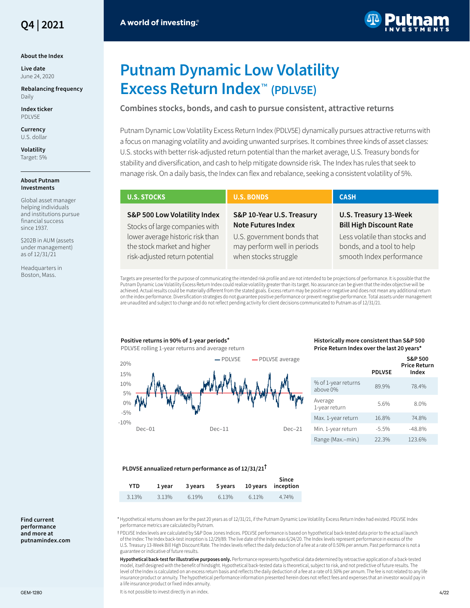

#### **About the Index**

**Live date** June 24, 2020

**Rebalancing frequency** Daily

**Index ticker** PDLV5E

**Currency** U.S. dollar

**Volatility** Target: 5%

#### **About Putnam Investments**

Global asset manager helping individuals and institutions pursue financial success since 1937.

\$202B in AUM (assets under management) as of 12/31/21

Headquarters in Boston, Mass.



# **Putnam Dynamic Low Volatility Excess Return Index**™ **(PDLV5E)**

# **Combines stocks, bonds, and cash to pursue consistent, attractive returns**

Putnam Dynamic Low Volatility Excess Return Index (PDLV5E) dynamically pursues attractive returns with a focus on managing volatility and avoiding unwanted surprises. It combines three kinds of asset classes: U.S. stocks with better risk-adjusted return potential than the market average, U.S. Treasury bonds for stability and diversification, and cash to help mitigate downside risk. The Index has rules that seek to manage risk. On a daily basis, the Index can flex and rebalance, seeking a consistent volatility of 5%.

| <b>U.S. STOCKS</b>                                             | <b>U.S. BONDS</b>                                      | <b>CASH</b>                                             |  |
|----------------------------------------------------------------|--------------------------------------------------------|---------------------------------------------------------|--|
| S&P 500 Low Volatility Index<br>Stocks of large companies with | S&P 10-Year U.S. Treasury<br><b>Note Futures Index</b> | U.S. Treasury 13-Week<br><b>Bill High Discount Rate</b> |  |
| lower average historic risk than                               | U.S. government bonds that                             | Less volatile than stocks and                           |  |
| the stock market and higher                                    | may perform well in periods                            | bonds, and a tool to help                               |  |
| risk-adjusted return potential                                 | when stocks struggle                                   | smooth Index performance                                |  |

Targets are presented for the purpose of communicating the intended risk profile and are not intended to be projections of performance. It is possible that the Putnam Dynamic Low Volatility Excess Return Index could realize volatility greater than its target. No assurance can be given that the index objective will be achieved. Actual results could be materially different from the stated goals. Excess return may be positive or negative and does not mean any additional return on the index performance. Diversification strategies do not guarantee positive performance or prevent negative performance. Total assets under management are unaudited and subject to change and do not reflect pending activity for client decisions communicated to Putnam as of 12/31/21.



### **Historically more consistent than S&P 500 Price Return Index over the last 20 years\***

|                                 | <b>PDLV5E</b> | <b>S&amp;P 500</b><br><b>Price Return</b><br>Index |
|---------------------------------|---------------|----------------------------------------------------|
| % of 1-year returns<br>above 0% | 899%          | 78.4%                                              |
| Average<br>1-year return        | 5.6%          | 8.0%                                               |
| Max. 1-year return              | 16.8%         | 74.8%                                              |
| Min. 1-year return              | $-5.5%$       | $-48.8%$                                           |
| Range (Max.-min.)               | 22.3%         | 123.6%                                             |

#### **PLDV5E annualized return performance as of 12/31/21†**

| YTD.  | 1 vear |       |       |       | Since<br>3 years 5 years 10 years inception |
|-------|--------|-------|-------|-------|---------------------------------------------|
| 3.13% | 3.13%  | 6.19% | 6.13% | 6.11% | 4.74%                                       |

1Hypothetical returns shown are for the past 20 years as of 12/31/21, if the Putnam Dynamic Low Volatility Excess Return Index had existed. PDLV5E Index performance metrics are calculated by Putnam.

2PDLV5E Index levels are calculated by S&P Dow Jones Indices. PDLV5E performance is based on hypothetical back-tested data prior to the actual launch of the Index: The Index back-test inception is 12/29/89. The live date of the Index was 6/24/20. The Index levels represent performance in excess of the U.S. Treasury 13-Week Bill High Discount Rate. The Index levels reflect the daily deduction of a fee at a rate of 0.50% per annum. Past performance is not a guarantee or indicative of future results.

**Hypothetical back-test for illustrative purposes only.** Performance represents hypothetical data determined by retroactive application of a back-tested model, itself designed with the benefit of hindsight. Hypothetical back-tested data is theoretical, subject to risk, and not predictive of future results. The level of the Index is calculated on an excess return basis and reflects the daily deduction of a fee at a rate of 0.50% per annum. The fee is not related to any life insurance product or annuity. The hypothetical performance information presented herein does not reflect fees and expenses that an investor would pay in a life insurance product or fixed index annuity.

GEM-1280 **In the controller of the controller of the controller of the controller of the controller of the controller of the controller of the controller of the controller of the controller of the controller of the control**